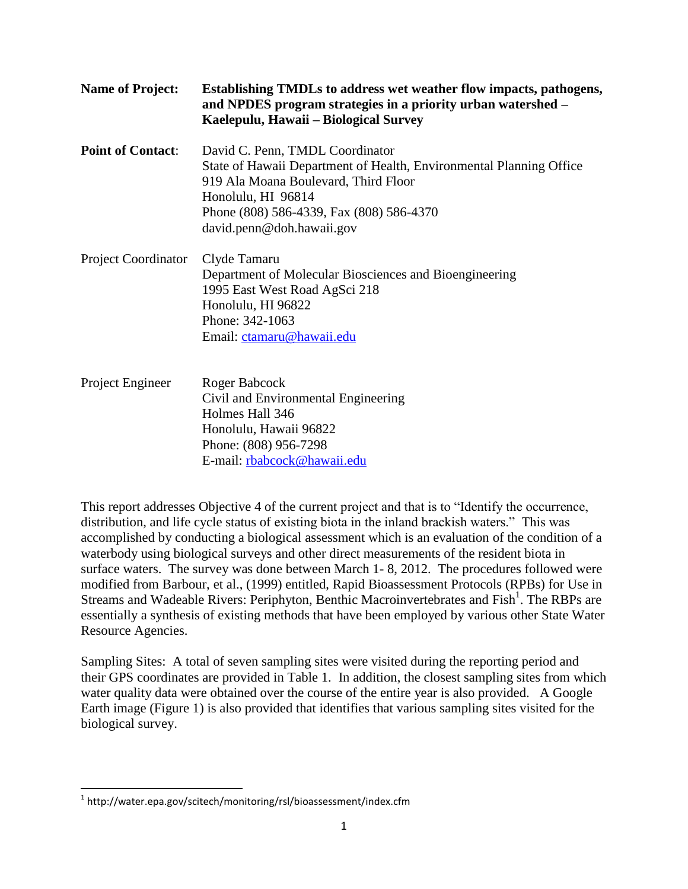| <b>Name of Project:</b>    | Establishing TMDLs to address wet weather flow impacts, pathogens,<br>and NPDES program strategies in a priority urban watershed -<br>Kaelepulu, Hawaii – Biological Survey                                                                   |
|----------------------------|-----------------------------------------------------------------------------------------------------------------------------------------------------------------------------------------------------------------------------------------------|
| <b>Point of Contact:</b>   | David C. Penn, TMDL Coordinator<br>State of Hawaii Department of Health, Environmental Planning Office<br>919 Ala Moana Boulevard, Third Floor<br>Honolulu, HI 96814<br>Phone (808) 586-4339, Fax (808) 586-4370<br>david.penn@doh.hawaii.gov |
| <b>Project Coordinator</b> | Clyde Tamaru<br>Department of Molecular Biosciences and Bioengineering<br>1995 East West Road AgSci 218<br>Honolulu, HI 96822<br>Phone: 342-1063<br>Email: ctamaru@hawaii.edu                                                                 |
| Project Engineer           | Roger Babcock<br>Civil and Environmental Engineering<br>Holmes Hall 346<br>Honolulu, Hawaii 96822<br>Phone: (808) 956-7298<br>E-mail: rbabcock@hawaii.edu                                                                                     |

This report addresses Objective 4 of the current project and that is to "Identify the occurrence, distribution, and life cycle status of existing biota in the inland brackish waters." This was accomplished by conducting a biological assessment which is an evaluation of the condition of a waterbody using biological surveys and other direct measurements of the resident biota in surface waters. The survey was done between March 1- 8, 2012. The procedures followed were modified from Barbour, et al., (1999) entitled, Rapid Bioassessment Protocols (RPBs) for Use in Streams and Wadeable Rivers: Periphyton, Benthic Macroinvertebrates and Fish<sup>1</sup>. The RBPs are essentially a synthesis of existing methods that have been employed by various other State Water Resource Agencies.

Sampling Sites: A total of seven sampling sites were visited during the reporting period and their GPS coordinates are provided in Table 1. In addition, the closest sampling sites from which water quality data were obtained over the course of the entire year is also provided. A Google Earth image (Figure 1) is also provided that identifies that various sampling sites visited for the biological survey.

 $\overline{\phantom{a}}$ 

 $^{1}$  http://water.epa.gov/scitech/monitoring/rsl/bioassessment/index.cfm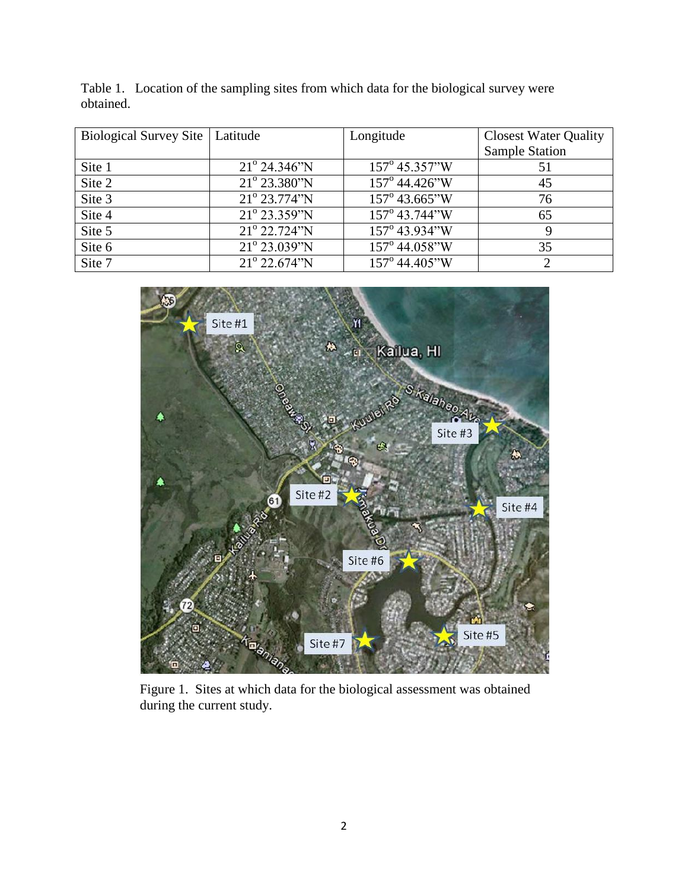| <b>Biological Survey Site</b> | Latitude              | Longitude              | <b>Closest Water Quality</b> |
|-------------------------------|-----------------------|------------------------|------------------------------|
|                               |                       |                        | <b>Sample Station</b>        |
| Site 1                        | $21^{\circ}$ 24.346"N | $157^{\circ}$ 45.357"W | 51                           |
| Site 2                        | 21° 23.380"N          | 157° 44.426"W          | 45                           |
| Site 3                        | $21^{\circ}$ 23.774"N | $157^{\circ}$ 43.665"W | 76                           |
| Site 4                        | 21° 23.359"N          | $157^{\circ}$ 43.744"W | 65                           |
| Site 5                        | $21^{\circ}$ 22.724"N | $157^{\circ}$ 43.934"W | 9                            |
| Site 6                        | $21^{\circ} 23.039"N$ | $157^{\circ}$ 44.058"W | 35                           |
| Site 7                        | $21^{\circ}$ 22.674"N | 157° 44.405"W          |                              |

Table 1. Location of the sampling sites from which data for the biological survey were obtained.



Figure 1. Sites at which data for the biological assessment was obtained during the current study.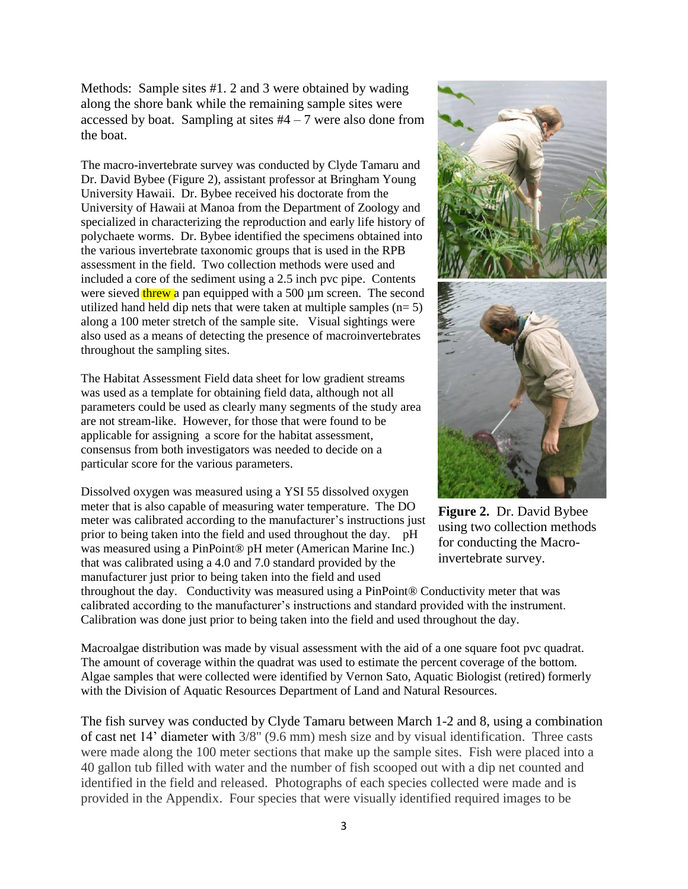Methods: Sample sites #1. 2 and 3 were obtained by wading along the shore bank while the remaining sample sites were accessed by boat. Sampling at sites  $#4 - 7$  were also done from the boat.

The macro-invertebrate survey was conducted by Clyde Tamaru and Dr. David Bybee (Figure 2), assistant professor at Bringham Young University Hawaii. Dr. Bybee received his doctorate from the University of Hawaii at Manoa from the Department of Zoology and specialized in characterizing the reproduction and early life history of polychaete worms. Dr. Bybee identified the specimens obtained into the various invertebrate taxonomic groups that is used in the RPB assessment in the field. Two collection methods were used and included a core of the sediment using a 2.5 inch pvc pipe. Contents were sieved threw a pan equipped with a 500 µm screen. The second utilized hand held dip nets that were taken at multiple samples  $(n= 5)$ along a 100 meter stretch of the sample site. Visual sightings were also used as a means of detecting the presence of macroinvertebrates throughout the sampling sites.

The Habitat Assessment Field data sheet for low gradient streams was used as a template for obtaining field data, although not all parameters could be used as clearly many segments of the study area are not stream-like. However, for those that were found to be applicable for assigning a score for the habitat assessment, consensus from both investigators was needed to decide on a particular score for the various parameters.

Dissolved oxygen was measured using a YSI 55 dissolved oxygen meter that is also capable of measuring water temperature. The DO meter was calibrated according to the manufacturer's instructions just prior to being taken into the field and used throughout the day. pH was measured using a PinPoint® pH meter (American Marine Inc.) that was calibrated using a 4.0 and 7.0 standard provided by the manufacturer just prior to being taken into the field and used



**Figure 2.** Dr. David Bybee using two collection methods for conducting the Macroinvertebrate survey.

throughout the day. Conductivity was measured using a PinPoint® Conductivity meter that was calibrated according to the manufacturer's instructions and standard provided with the instrument. Calibration was done just prior to being taken into the field and used throughout the day.

Macroalgae distribution was made by visual assessment with the aid of a one square foot pvc quadrat. The amount of coverage within the quadrat was used to estimate the percent coverage of the bottom. Algae samples that were collected were identified by Vernon Sato, Aquatic Biologist (retired) formerly with the Division of Aquatic Resources Department of Land and Natural Resources.

The fish survey was conducted by Clyde Tamaru between March 1-2 and 8, using a combination of cast net 14' diameter with 3/8" (9.6 mm) mesh size and by visual identification. Three casts were made along the 100 meter sections that make up the sample sites. Fish were placed into a 40 gallon tub filled with water and the number of fish scooped out with a dip net counted and identified in the field and released. Photographs of each species collected were made and is provided in the Appendix. Four species that were visually identified required images to be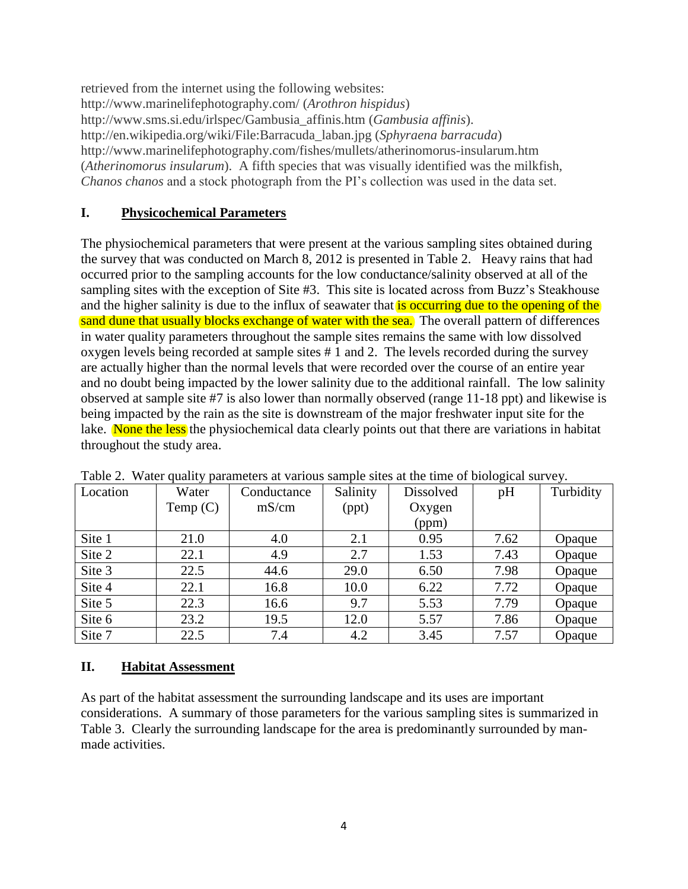retrieved from the internet using the following websites: http://www.marinelifephotography.com/ (*Arothron hispidus*) http://www.sms.si.edu/irlspec/Gambusia\_affinis.htm (*Gambusia affinis*). http://en.wikipedia.org/wiki/File:Barracuda\_laban.jpg (*Sphyraena barracuda*) http://www.marinelifephotography.com/fishes/mullets/atherinomorus-insularum.htm (*Atherinomorus insularum*). A fifth species that was visually identified was the milkfish, *Chanos chanos* and a stock photograph from the PI's collection was used in the data set.

# **I. Physicochemical Parameters**

The physiochemical parameters that were present at the various sampling sites obtained during the survey that was conducted on March 8, 2012 is presented in Table 2. Heavy rains that had occurred prior to the sampling accounts for the low conductance/salinity observed at all of the sampling sites with the exception of Site #3. This site is located across from Buzz's Steakhouse and the higher salinity is due to the influx of seawater that is occurring due to the opening of the sand dune that usually blocks exchange of water with the sea. The overall pattern of differences in water quality parameters throughout the sample sites remains the same with low dissolved oxygen levels being recorded at sample sites # 1 and 2. The levels recorded during the survey are actually higher than the normal levels that were recorded over the course of an entire year and no doubt being impacted by the lower salinity due to the additional rainfall. The low salinity observed at sample site #7 is also lower than normally observed (range 11-18 ppt) and likewise is being impacted by the rain as the site is downstream of the major freshwater input site for the lake. None the less the physiochemical data clearly points out that there are variations in habitat throughout the study area.

| Location | Water      | Conductance | Salinity | <b>Dissolved</b> | pH   | Turbidity |
|----------|------------|-------------|----------|------------------|------|-----------|
|          | Temp $(C)$ | mS/cm       | (ppt)    | Oxygen           |      |           |
|          |            |             |          | (ppm)            |      |           |
| Site 1   | 21.0       | 4.0         | 2.1      | 0.95             | 7.62 | Opaque    |
| Site 2   | 22.1       | 4.9         | 2.7      | 1.53             | 7.43 | Opaque    |
| Site 3   | 22.5       | 44.6        | 29.0     | 6.50             | 7.98 | Opaque    |
| Site 4   | 22.1       | 16.8        | 10.0     | 6.22             | 7.72 | Opaque    |
| Site 5   | 22.3       | 16.6        | 9.7      | 5.53             | 7.79 | Opaque    |
| Site 6   | 23.2       | 19.5        | 12.0     | 5.57             | 7.86 | Opaque    |
| Site 7   | 22.5       | 7.4         | 4.2      | 3.45             | 7.57 | Opaque    |

Table 2. Water quality parameters at various sample sites at the time of biological survey.

## **II. Habitat Assessment**

As part of the habitat assessment the surrounding landscape and its uses are important considerations. A summary of those parameters for the various sampling sites is summarized in Table 3. Clearly the surrounding landscape for the area is predominantly surrounded by manmade activities.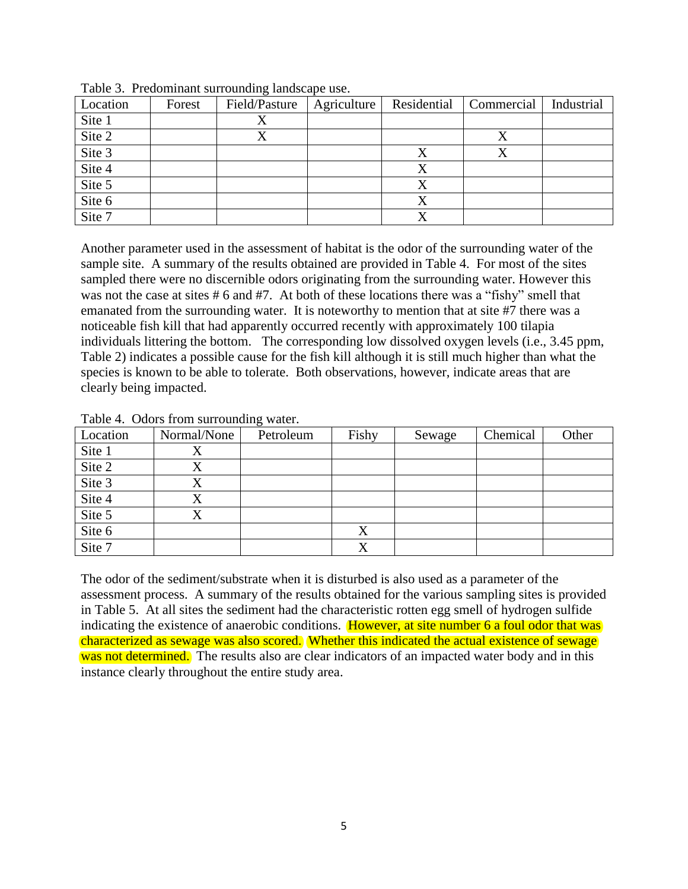| Location | Forest | Field/Pasture | Agriculture | Residential | Commercial | Industrial |
|----------|--------|---------------|-------------|-------------|------------|------------|
| Site 1   |        | Λ             |             |             |            |            |
| Site 2   |        | X             |             |             |            |            |
| Site 3   |        |               |             | Χ           |            |            |
| Site 4   |        |               |             | X           |            |            |
| Site 5   |        |               |             | X           |            |            |
| Site 6   |        |               |             | X           |            |            |
| Site 7   |        |               |             | X           |            |            |

Table 3. Predominant surrounding landscape use.

Another parameter used in the assessment of habitat is the odor of the surrounding water of the sample site. A summary of the results obtained are provided in Table 4. For most of the sites sampled there were no discernible odors originating from the surrounding water. However this was not the case at sites # 6 and #7. At both of these locations there was a "fishy" smell that emanated from the surrounding water. It is noteworthy to mention that at site #7 there was a noticeable fish kill that had apparently occurred recently with approximately 100 tilapia individuals littering the bottom. The corresponding low dissolved oxygen levels (i.e., 3.45 ppm, Table 2) indicates a possible cause for the fish kill although it is still much higher than what the species is known to be able to tolerate. Both observations, however, indicate areas that are clearly being impacted.

Table 4. Odors from surrounding water.

| Location | Normal/None | Petroleum | Fishy | Sewage | Chemical | Other |
|----------|-------------|-----------|-------|--------|----------|-------|
| Site 1   |             |           |       |        |          |       |
| Site 2   |             |           |       |        |          |       |
| Site 3   |             |           |       |        |          |       |
| Site 4   |             |           |       |        |          |       |
| Site 5   |             |           |       |        |          |       |
| Site 6   |             |           | X     |        |          |       |
| Site 7   |             |           | X     |        |          |       |

The odor of the sediment/substrate when it is disturbed is also used as a parameter of the assessment process. A summary of the results obtained for the various sampling sites is provided in Table 5. At all sites the sediment had the characteristic rotten egg smell of hydrogen sulfide indicating the existence of anaerobic conditions. However, at site number 6 a foul odor that was characterized as sewage was also scored. Whether this indicated the actual existence of sewage was not determined. The results also are clear indicators of an impacted water body and in this instance clearly throughout the entire study area.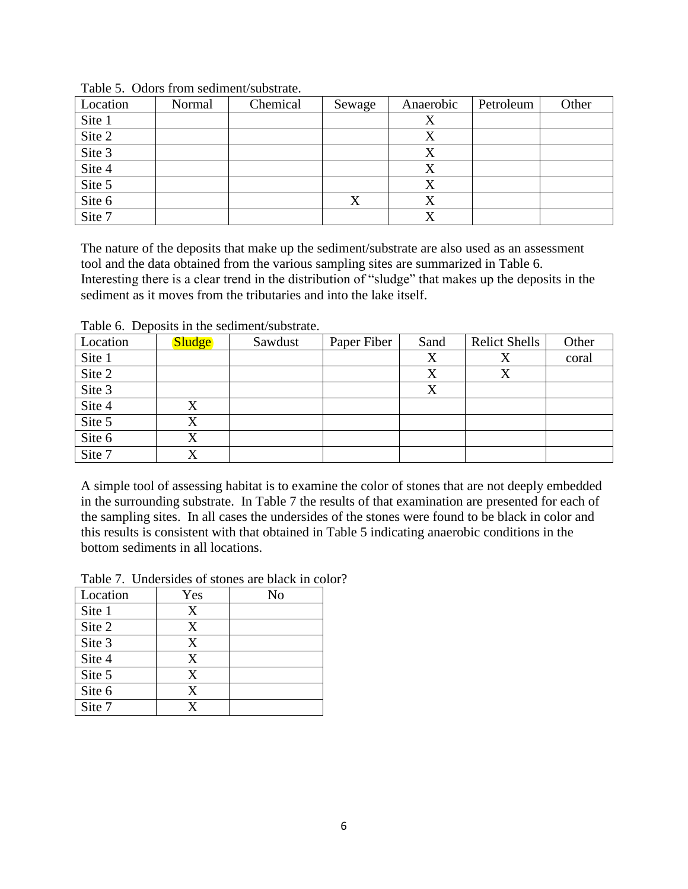| Location | Normal | Chemical | Sewage | Anaerobic | Petroleum | Other |
|----------|--------|----------|--------|-----------|-----------|-------|
| Site 1   |        |          |        | △         |           |       |
| Site 2   |        |          |        |           |           |       |
| Site 3   |        |          |        | Х         |           |       |
| Site 4   |        |          |        |           |           |       |
| Site 5   |        |          |        |           |           |       |
| Site $6$ |        |          | Δ      | Δ         |           |       |
| Site 7   |        |          |        |           |           |       |

Table 5. Odors from sediment/substrate.

The nature of the deposits that make up the sediment/substrate are also used as an assessment tool and the data obtained from the various sampling sites are summarized in Table 6. Interesting there is a clear trend in the distribution of "sludge" that makes up the deposits in the sediment as it moves from the tributaries and into the lake itself.

| Location | <b>Sludge</b> | Sawdust | Paper Fiber | Sand    | <b>Relict Shells</b> | Other |
|----------|---------------|---------|-------------|---------|----------------------|-------|
| Site 1   |               |         |             | X       |                      | coral |
| Site 2   |               |         |             |         |                      |       |
| Site 3   |               |         |             | $\rm X$ |                      |       |
| Site 4   | X             |         |             |         |                      |       |
| Site 5   | X             |         |             |         |                      |       |
| Site 6   | X             |         |             |         |                      |       |
| Site 7   |               |         |             |         |                      |       |

Table 6. Deposits in the sediment/substrate.

A simple tool of assessing habitat is to examine the color of stones that are not deeply embedded in the surrounding substrate. In Table 7 the results of that examination are presented for each of the sampling sites. In all cases the undersides of the stones were found to be black in color and this results is consistent with that obtained in Table 5 indicating anaerobic conditions in the bottom sediments in all locations.

|  | Table 7. Undersides of stones are black in color? |  |  |  |
|--|---------------------------------------------------|--|--|--|
|--|---------------------------------------------------|--|--|--|

| Location | Yes | No |
|----------|-----|----|
| Site 1   | X   |    |
| Site 2   | X   |    |
| Site 3   | X   |    |
| Site 4   | X   |    |
| Site 5   | X   |    |
| Site 6   | X   |    |
| Site 7   | v   |    |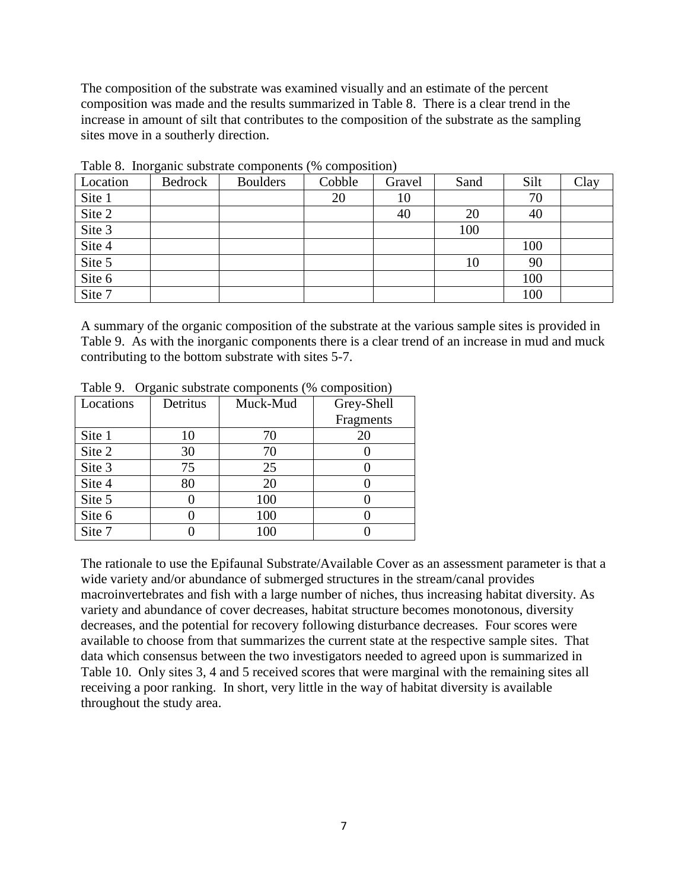The composition of the substrate was examined visually and an estimate of the percent composition was made and the results summarized in Table 8. There is a clear trend in the increase in amount of silt that contributes to the composition of the substrate as the sampling sites move in a southerly direction.

| Location | Bedrock | <b>Boulders</b> | Cobble | Gravel | Sand | Silt | Clay |
|----------|---------|-----------------|--------|--------|------|------|------|
| Site 1   |         |                 | 20     | 10     |      | 70   |      |
| Site 2   |         |                 |        | 40     | 20   | 40   |      |
| Site 3   |         |                 |        |        | 100  |      |      |
| Site 4   |         |                 |        |        |      | 100  |      |
| Site 5   |         |                 |        |        | 10   | 90   |      |
| Site 6   |         |                 |        |        |      | 100  |      |
| Site 7   |         |                 |        |        |      | 100  |      |

Table 8. Inorganic substrate components (% composition)

A summary of the organic composition of the substrate at the various sample sites is provided in Table 9. As with the inorganic components there is a clear trend of an increase in mud and muck contributing to the bottom substrate with sites 5-7.

| Locations | Detritus | Muck-Mud | Grey-Shell |
|-----------|----------|----------|------------|
|           |          |          | Fragments  |
| Site 1    | 10       | 70       | 20         |
| Site 2    | 30       | 70       |            |
| Site 3    | 75       | 25       |            |
| Site 4    | 80       | 20       |            |
| Site 5    |          | 100      |            |
| Site 6    |          | 100      |            |
| Site 7    |          | 100      |            |

Table 9. Organic substrate components (% composition)

The rationale to use the Epifaunal Substrate/Available Cover as an assessment parameter is that a wide variety and/or abundance of submerged structures in the stream/canal provides macroinvertebrates and fish with a large number of niches, thus increasing habitat diversity. As variety and abundance of cover decreases, habitat structure becomes monotonous, diversity decreases, and the potential for recovery following disturbance decreases. Four scores were available to choose from that summarizes the current state at the respective sample sites. That data which consensus between the two investigators needed to agreed upon is summarized in Table 10. Only sites 3, 4 and 5 received scores that were marginal with the remaining sites all receiving a poor ranking. In short, very little in the way of habitat diversity is available throughout the study area.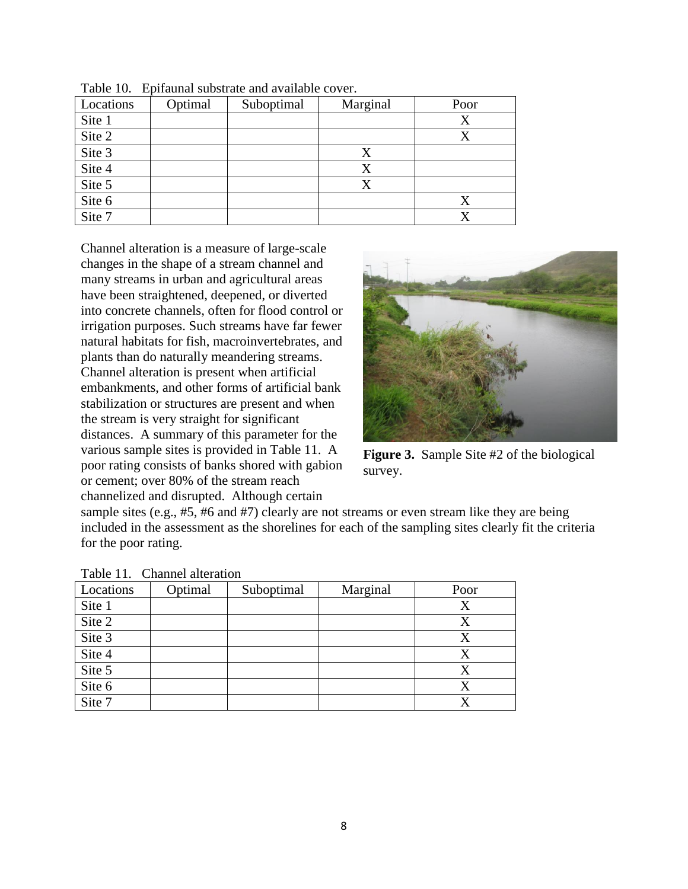| Locations | Optimal | Suboptimal | Marginal | Poor |
|-----------|---------|------------|----------|------|
| Site 1    |         |            |          | X    |
| Site 2    |         |            |          | X    |
| Site 3    |         |            |          |      |
| Site 4    |         |            | X        |      |
| Site 5    |         |            |          |      |
| Site 6    |         |            |          | X    |
| Site 7    |         |            |          |      |

Table 10. Epifaunal substrate and available cover.

Channel alteration is a measure of large-scale changes in the shape of a stream channel and many streams in urban and agricultural areas have been straightened, deepened, or diverted into concrete channels, often for flood control or irrigation purposes. Such streams have far fewer natural habitats for fish, macroinvertebrates, and plants than do naturally meandering streams. Channel alteration is present when artificial embankments, and other forms of artificial bank stabilization or structures are present and when the stream is very straight for significant distances. A summary of this parameter for the various sample sites is provided in Table 11. A poor rating consists of banks shored with gabion or cement; over 80% of the stream reach channelized and disrupted. Although certain



**Figure 3.** Sample Site #2 of the biological survey.

sample sites (e.g., #5, #6 and #7) clearly are not streams or even stream like they are being included in the assessment as the shorelines for each of the sampling sites clearly fit the criteria for the poor rating.

| Locations | Optimal | Suboptimal | Marginal | Poor |
|-----------|---------|------------|----------|------|
| Site 1    |         |            |          | X    |
| Site 2    |         |            |          | X    |
| Site 3    |         |            |          | X    |
| Site 4    |         |            |          | X    |
| Site 5    |         |            |          |      |
| Site 6    |         |            |          |      |
| Site 7    |         |            |          |      |

Table 11. Channel alteration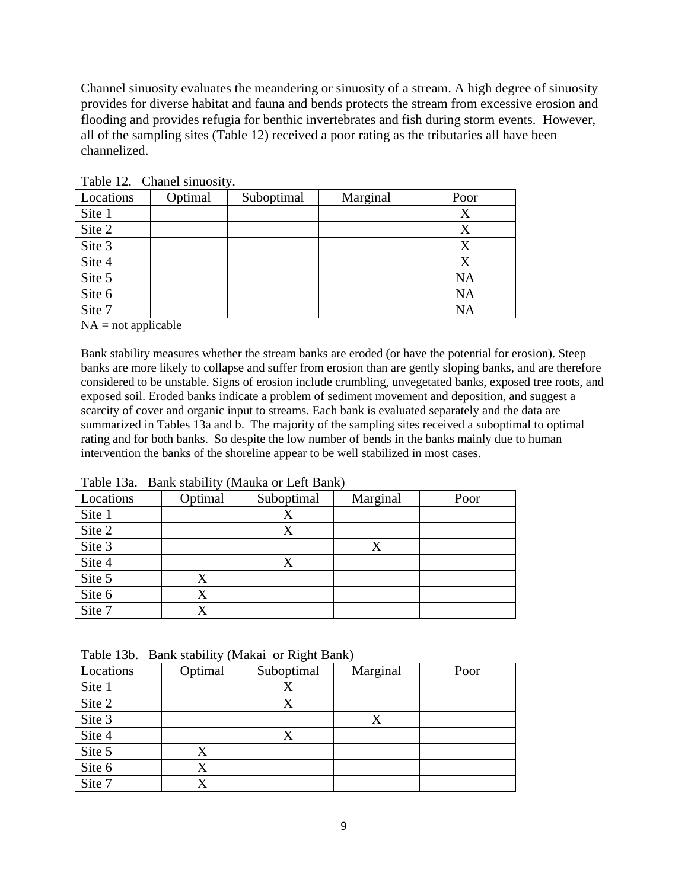Channel sinuosity evaluates the meandering or sinuosity of a stream. A high degree of sinuosity provides for diverse habitat and fauna and bends protects the stream from excessive erosion and flooding and provides refugia for benthic invertebrates and fish during storm events. However, all of the sampling sites (Table 12) received a poor rating as the tributaries all have been channelized.

|           | $10010 + 100$<br>$\mathcal{L}_{\text{H}}$ |            |          |           |  |  |
|-----------|-------------------------------------------|------------|----------|-----------|--|--|
| Locations | Optimal                                   | Suboptimal | Marginal | Poor      |  |  |
| Site 1    |                                           |            |          | X         |  |  |
| Site 2    |                                           |            |          | X         |  |  |
| Site 3    |                                           |            |          | X         |  |  |
| Site 4    |                                           |            |          | X         |  |  |
| Site 5    |                                           |            |          | <b>NA</b> |  |  |
| Site 6    |                                           |            |          | <b>NA</b> |  |  |
| Site 7    |                                           |            |          | NA        |  |  |

Table 12. Chanel sinuosity.

 $NA = not applicable$ 

Bank stability measures whether the stream banks are eroded (or have the potential for erosion). Steep banks are more likely to collapse and suffer from erosion than are gently sloping banks, and are therefore considered to be unstable. Signs of erosion include crumbling, unvegetated banks, exposed tree roots, and exposed soil. Eroded banks indicate a problem of sediment movement and deposition, and suggest a scarcity of cover and organic input to streams. Each bank is evaluated separately and the data are summarized in Tables 13a and b. The majority of the sampling sites received a suboptimal to optimal rating and for both banks. So despite the low number of bends in the banks mainly due to human intervention the banks of the shoreline appear to be well stabilized in most cases.

| Locations | $\sim$ $\sim$<br>Optimal | Suboptimal | Marginal | Poor |
|-----------|--------------------------|------------|----------|------|
| Site 1    |                          | X          |          |      |
| Site 2    |                          | X          |          |      |
| Site 3    |                          |            |          |      |
| Site 4    |                          | X          |          |      |
| Site 5    | X                        |            |          |      |
| Site 6    |                          |            |          |      |
| Site 7    |                          |            |          |      |

Table 13a. Bank stability (Mauka or Left Bank)

| racio 190. Dann staemt; (manar of rught bank) |         |            |          |      |  |  |
|-----------------------------------------------|---------|------------|----------|------|--|--|
| Locations                                     | Optimal | Suboptimal | Marginal | Poor |  |  |
| Site 1                                        |         | Х          |          |      |  |  |
| Site 2                                        |         | X          |          |      |  |  |
| Site 3                                        |         |            |          |      |  |  |
| Site 4                                        |         | X          |          |      |  |  |
| Site 5                                        |         |            |          |      |  |  |
| Site 6                                        |         |            |          |      |  |  |
| Site 7                                        |         |            |          |      |  |  |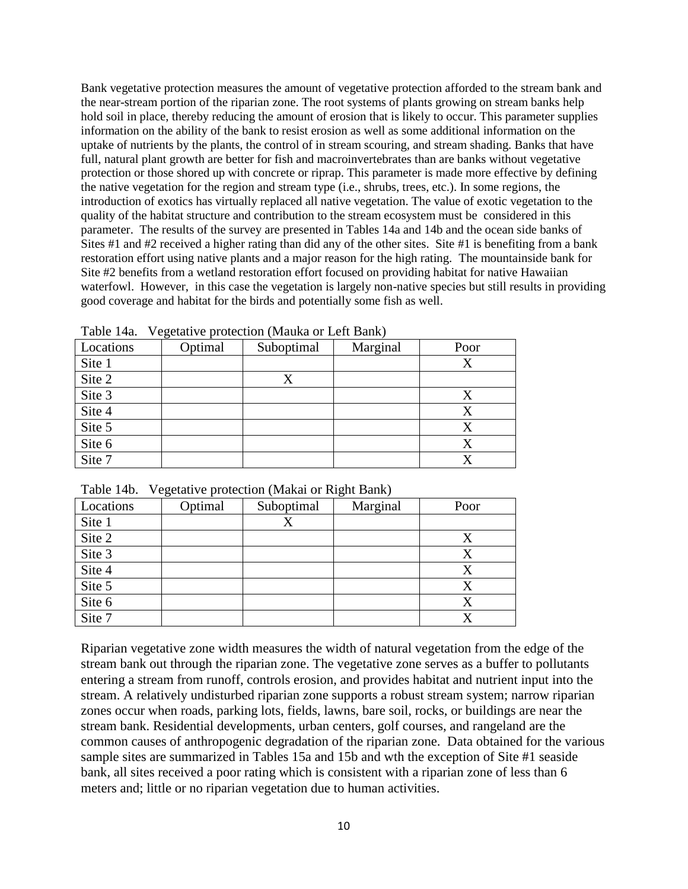Bank vegetative protection measures the amount of vegetative protection afforded to the stream bank and the near-stream portion of the riparian zone. The root systems of plants growing on stream banks help hold soil in place, thereby reducing the amount of erosion that is likely to occur. This parameter supplies information on the ability of the bank to resist erosion as well as some additional information on the uptake of nutrients by the plants, the control of in stream scouring, and stream shading. Banks that have full, natural plant growth are better for fish and macroinvertebrates than are banks without vegetative protection or those shored up with concrete or riprap. This parameter is made more effective by defining the native vegetation for the region and stream type (i.e., shrubs, trees, etc.). In some regions, the introduction of exotics has virtually replaced all native vegetation. The value of exotic vegetation to the quality of the habitat structure and contribution to the stream ecosystem must be considered in this parameter. The results of the survey are presented in Tables 14a and 14b and the ocean side banks of Sites #1 and #2 received a higher rating than did any of the other sites. Site #1 is benefiting from a bank restoration effort using native plants and a major reason for the high rating. The mountainside bank for Site #2 benefits from a wetland restoration effort focused on providing habitat for native Hawaiian waterfowl. However, in this case the vegetation is largely non-native species but still results in providing good coverage and habitat for the birds and potentially some fish as well.

| Locations | $\overline{\phantom{a}}$<br>Optimal | Suboptimal | Marginal | Poor |
|-----------|-------------------------------------|------------|----------|------|
| Site 1    |                                     |            |          |      |
| Site 2    |                                     | X          |          |      |
| Site 3    |                                     |            |          | X    |
| Site 4    |                                     |            |          | X    |
| Site 5    |                                     |            |          |      |
| Site 6    |                                     |            |          |      |
| Site 7    |                                     |            |          |      |

Table 14a. Vegetative protection (Mauka or Left Bank)

|           | Table 14b. Vegetative protection (Makai or Right Bank) |            |          |      |  |  |
|-----------|--------------------------------------------------------|------------|----------|------|--|--|
| Locations | Optimal                                                | Suboptimal | Marginal | Poor |  |  |

| LOCALIONS | $Q$ punnai | <b>Supplified</b> | <b>Naighiai</b> | <b>LOOI</b> |
|-----------|------------|-------------------|-----------------|-------------|
| Site 1    |            | X                 |                 |             |
| Site $2$  |            |                   |                 |             |
| Site 3    |            |                   |                 |             |
| Site 4    |            |                   |                 |             |
| Site 5    |            |                   |                 | Х           |
| Site 6    |            |                   |                 | $\Lambda$   |
| Site 7    |            |                   |                 |             |

Riparian vegetative zone width measures the width of natural vegetation from the edge of the stream bank out through the riparian zone. The vegetative zone serves as a buffer to pollutants entering a stream from runoff, controls erosion, and provides habitat and nutrient input into the stream. A relatively undisturbed riparian zone supports a robust stream system; narrow riparian zones occur when roads, parking lots, fields, lawns, bare soil, rocks, or buildings are near the stream bank. Residential developments, urban centers, golf courses, and rangeland are the common causes of anthropogenic degradation of the riparian zone. Data obtained for the various sample sites are summarized in Tables 15a and 15b and wth the exception of Site #1 seaside bank, all sites received a poor rating which is consistent with a riparian zone of less than 6 meters and; little or no riparian vegetation due to human activities.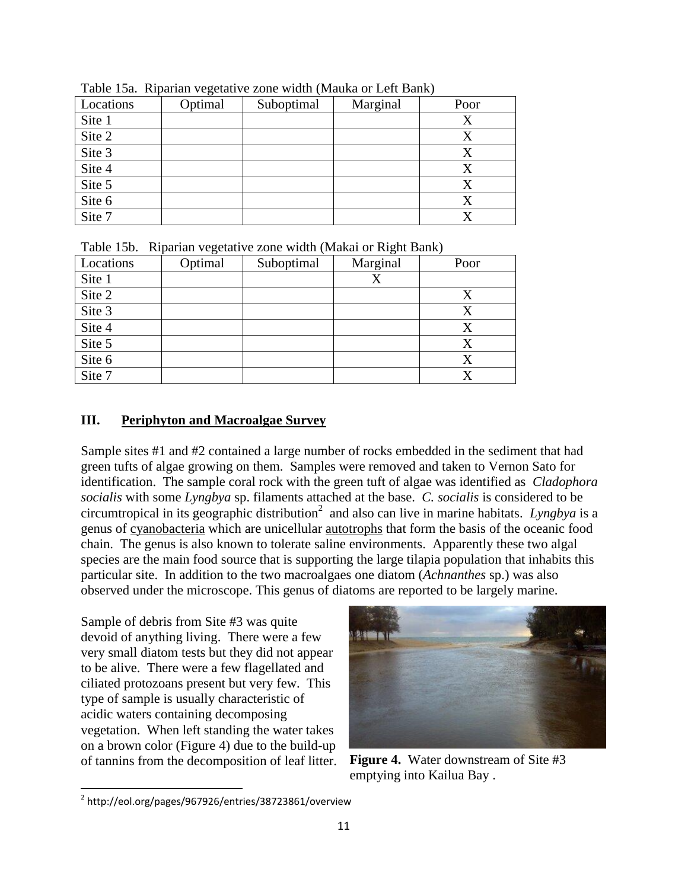| Locations | .<br>Optimal | Suboptimal | Marginal | Poor |
|-----------|--------------|------------|----------|------|
| Site 1    |              |            |          | X    |
| Site 2    |              |            |          |      |
| Site 3    |              |            |          |      |
| Site 4    |              |            |          | Χ    |
| Site 5    |              |            |          | Χ    |
| Site 6    |              |            |          | Χ    |
| Site 7    |              |            |          |      |

Table 15a. Riparian vegetative zone width (Mauka or Left Bank)

Table 15b. Riparian vegetative zone width (Makai or Right Bank)

| Locations | Optimal | Suboptimal | Marginal | Poor |
|-----------|---------|------------|----------|------|
| Site 1    |         |            |          |      |
| Site 2    |         |            |          |      |
| Site 3    |         |            |          |      |
| Site 4    |         |            |          |      |
| Site 5    |         |            |          |      |
| Site 6    |         |            |          | Х    |
| Site 7    |         |            |          |      |

# **III. Periphyton and Macroalgae Survey**

Sample sites #1 and #2 contained a large number of rocks embedded in the sediment that had green tufts of algae growing on them. Samples were removed and taken to Vernon Sato for identification. The sample coral rock with the green tuft of algae was identified as *Cladophora socialis* with some *Lyngbya* sp. filaments attached at the base. *C. socialis* is considered to be circumtropical in its geographic distribution<sup>2</sup> and also can live in marine habitats. Lyngbya is a genus of [cyanobacteria](http://en.wikipedia.org/wiki/Cyanobacteria) which are unicellular [autotrophs](http://en.wikipedia.org/wiki/Autotroph) that form the basis of the oceanic food chain. The genus is also known to tolerate saline environments. Apparently these two algal species are the main food source that is supporting the large tilapia population that inhabits this particular site. In addition to the two macroalgaes one diatom (*Achnanthes* sp.) was also observed under the microscope. This genus of diatoms are reported to be largely marine.

Sample of debris from Site #3 was quite devoid of anything living. There were a few very small diatom tests but they did not appear to be alive. There were a few flagellated and ciliated protozoans present but very few. This type of sample is usually characteristic of acidic waters containing decomposing vegetation. When left standing the water takes on a brown color (Figure 4) due to the build-up of tannins from the decomposition of leaf litter.



**Figure 4.** Water downstream of Site #3 emptying into Kailua Bay .

 $\overline{\phantom{a}}$ 

<sup>2</sup> http://eol.org/pages/967926/entries/38723861/overview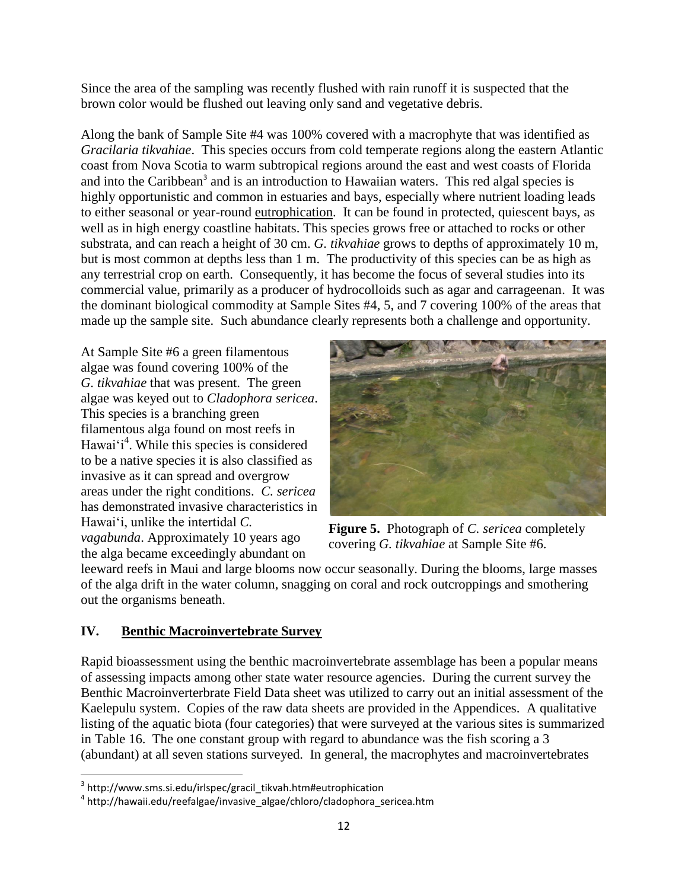Since the area of the sampling was recently flushed with rain runoff it is suspected that the brown color would be flushed out leaving only sand and vegetative debris.

Along the bank of Sample Site #4 was 100% covered with a macrophyte that was identified as *Gracilaria tikvahiae*. This species occurs from cold temperate regions along the eastern Atlantic coast from Nova Scotia to warm subtropical regions around the east and west coasts of Florida and into the Caribbean<sup>3</sup> and is an introduction to Hawaiian waters. This red algal species is highly opportunistic and common in estuaries and bays, especially where nutrient loading leads to either seasonal or year-round [eutrophication.](http://www.sms.si.edu/irlspec/gracil_tikvah.htm#eutrophication) It can be found in protected, quiescent bays, as well as in high energy coastline habitats. This species grows free or attached to rocks or other [substrata,](http://www.sms.si.edu/irlspec/gracil_tikvah.htm#substrata) and can reach a height of 30 cm. *G. tikvahiae* grows to depths of approximately 10 m, but is most common at depths less than 1 m. The productivity of this species can be as high as any terrestrial crop on earth. Consequently, it has become the focus of several studies into its commercial value, primarily as a producer of hydrocolloids such as agar and carrageenan. It was the dominant biological commodity at Sample Sites #4, 5, and 7 covering 100% of the areas that made up the sample site. Such abundance clearly represents both a challenge and opportunity.

At Sample Site #6 a green filamentous algae was found covering 100% of the *G. tikvahiae* that was present. The green algae was keyed out to *Cladophora sericea*. This species is a branching green filamentous alga found on most reefs in Hawai'i<sup>4</sup>. While this species is considered to be a native species it is also classified as invasive as it can spread and overgrow areas under the right conditions. *C. sericea* has demonstrated invasive characteristics in Hawai'i, unlike the intertidal *C. vagabunda*. Approximately 10 years ago the alga became exceedingly abundant on



**Figure 5.** Photograph of *C. sericea* completely covering *G. tikvahiae* at Sample Site #6.

leeward reefs in Maui and large blooms now occur seasonally. During the blooms, large masses of the alga drift in the water column, snagging on coral and rock outcroppings and smothering out the organisms beneath.

## **IV. Benthic Macroinvertebrate Survey**

l

Rapid bioassessment using the benthic macroinvertebrate assemblage has been a popular means of assessing impacts among other state water resource agencies. During the current survey the Benthic Macroinverterbrate Field Data sheet was utilized to carry out an initial assessment of the Kaelepulu system. Copies of the raw data sheets are provided in the Appendices. A qualitative listing of the aquatic biota (four categories) that were surveyed at the various sites is summarized in Table 16. The one constant group with regard to abundance was the fish scoring a 3 (abundant) at all seven stations surveyed. In general, the macrophytes and macroinvertebrates

<sup>3</sup> http://www.sms.si.edu/irlspec/gracil\_tikvah.htm#eutrophication

<sup>&</sup>lt;sup>4</sup> http://hawaii.edu/reefalgae/invasive\_algae/chloro/cladophora\_sericea.htm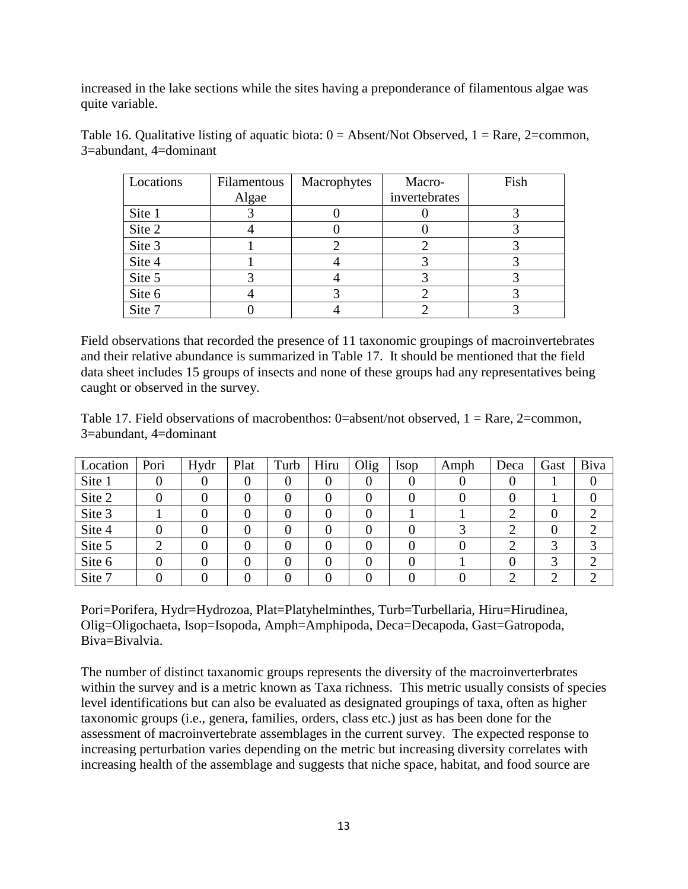increased in the lake sections while the sites having a preponderance of filamentous algae was quite variable.

| Table 16. Qualitative listing of aquatic biota: $0 =$ Absent/Not Observed, $1 =$ Rare, 2=common, |  |
|--------------------------------------------------------------------------------------------------|--|
| $3$ =abundant, $4$ =dominant                                                                     |  |

| Locations | Filamentous | Macrophytes | Macro-        | Fish |
|-----------|-------------|-------------|---------------|------|
|           | Algae       |             | invertebrates |      |
| Site 1    |             |             |               |      |
| Site 2    |             |             |               |      |
| Site 3    |             |             |               |      |
| Site 4    |             |             |               |      |
| Site 5    |             |             |               |      |
| Site 6    |             |             |               |      |
| Site 7    |             |             |               |      |

Field observations that recorded the presence of 11 taxonomic groupings of macroinvertebrates and their relative abundance is summarized in Table 17. It should be mentioned that the field data sheet includes 15 groups of insects and none of these groups had any representatives being caught or observed in the survey.

Table 17. Field observations of macrobenthos:  $0 =$ absent/not observed,  $1 =$ Rare,  $2 =$ common, 3=abundant, 4=dominant

| Location | Pori | Hydr | Plat | Turb | Hiru | Olig | <b>Isop</b> | Amph | Deca | Gast | Biva |
|----------|------|------|------|------|------|------|-------------|------|------|------|------|
| Site 1   |      | v    |      |      |      |      |             |      |      |      |      |
| Site 2   |      |      |      |      |      |      |             |      |      |      |      |
| Site 3   |      |      |      |      |      |      |             |      |      |      |      |
| Site 4   |      |      |      |      |      |      |             |      |      |      |      |
| Site 5   |      |      |      |      |      |      |             |      |      |      |      |
| Site 6   |      |      |      |      |      |      |             |      |      |      |      |
| Site 7   |      |      |      |      |      |      |             |      |      |      |      |

Pori=Porifera, Hydr=Hydrozoa, Plat=Platyhelminthes, Turb=Turbellaria, Hiru=Hirudinea, Olig=Oligochaeta, Isop=Isopoda, Amph=Amphipoda, Deca=Decapoda, Gast=Gatropoda, Biva=Bivalvia.

The number of distinct taxanomic groups represents the diversity of the macroinverterbrates within the survey and is a metric known as Taxa richness. This metric usually consists of species level identifications but can also be evaluated as designated groupings of taxa, often as higher taxonomic groups (i.e., genera, families, orders, class etc.) just as has been done for the assessment of macroinvertebrate assemblages in the current survey. The expected response to increasing perturbation varies depending on the metric but increasing diversity correlates with increasing health of the assemblage and suggests that niche space, habitat, and food source are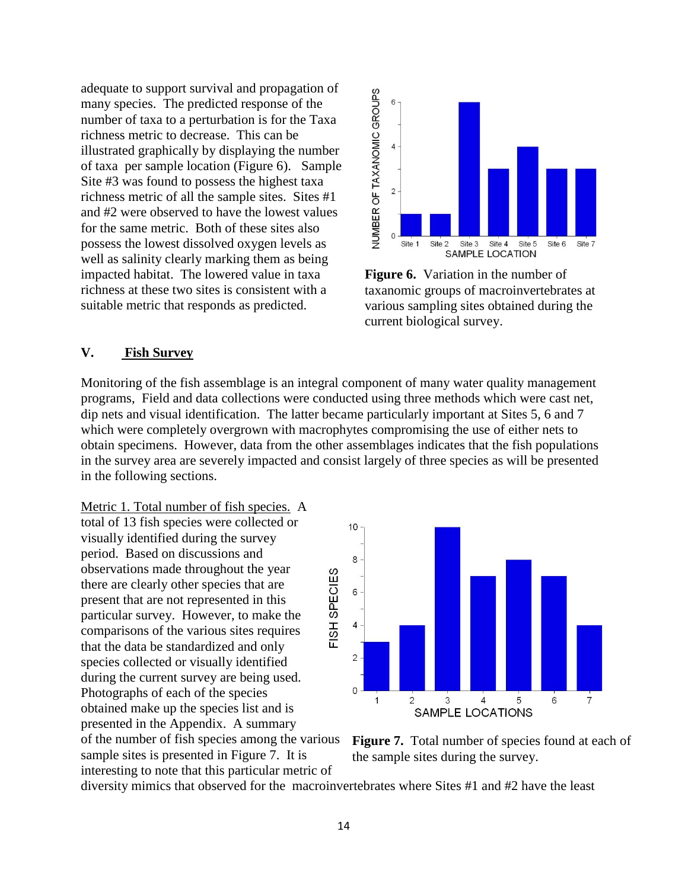adequate to support survival and propagation of many species. The predicted response of the number of taxa to a perturbation is for the Taxa richness metric to decrease. This can be illustrated graphically by displaying the number of taxa per sample location (Figure 6). Sample Site #3 was found to possess the highest taxa richness metric of all the sample sites. Sites #1 and #2 were observed to have the lowest values for the same metric. Both of these sites also possess the lowest dissolved oxygen levels as well as salinity clearly marking them as being impacted habitat. The lowered value in taxa richness at these two sites is consistent with a suitable metric that responds as predicted.



**Figure 6.** Variation in the number of taxanomic groups of macroinvertebrates at various sampling sites obtained during the current biological survey.

## **V. Fish Survey**

Monitoring of the fish assemblage is an integral component of many water quality management programs, Field and data collections were conducted using three methods which were cast net, dip nets and visual identification. The latter became particularly important at Sites 5, 6 and 7 which were completely overgrown with macrophytes compromising the use of either nets to obtain specimens. However, data from the other assemblages indicates that the fish populations in the survey area are severely impacted and consist largely of three species as will be presented in the following sections.

Metric 1. Total number of fish species. A total of 13 fish species were collected or visually identified during the survey period. Based on discussions and observations made throughout the year there are clearly other species that are present that are not represented in this particular survey. However, to make the comparisons of the various sites requires that the data be standardized and only species collected or visually identified during the current survey are being used. Photographs of each of the species obtained make up the species list and is presented in the Appendix. A summary of the number of fish species among the various sample sites is presented in Figure 7. It is interesting to note that this particular metric of



Figure 7. Total number of species found at each of the sample sites during the survey.

diversity mimics that observed for the macroinvertebrates where Sites #1 and #2 have the least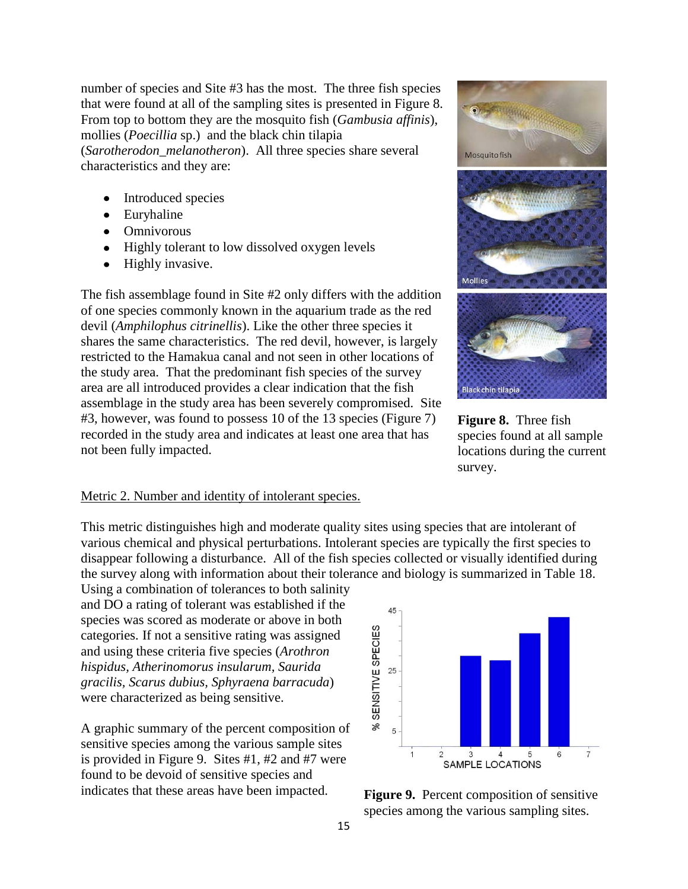number of species and Site #3 has the most. The three fish species that were found at all of the sampling sites is presented in Figure 8. From top to bottom they are the mosquito fish (*Gambusia affinis*), mollies (*Poecillia* sp.) and the black chin tilapia (*Sarotherodon\_melanotheron*). All three species share several

characteristics and they are:

- $\bullet$ Introduced species
- Euryhaline
- Omnivorous
- Highly tolerant to low dissolved oxygen levels
- $\bullet$ Highly invasive.

The fish assemblage found in Site #2 only differs with the addition of one species commonly known in the aquarium trade as the red devil (*Amphilophus citrinellis*). Like the other three species it shares the same characteristics. The red devil, however, is largely restricted to the Hamakua canal and not seen in other locations of the study area. That the predominant fish species of the survey area are all introduced provides a clear indication that the fish assemblage in the study area has been severely compromised. Site #3, however, was found to possess 10 of the 13 species (Figure 7) recorded in the study area and indicates at least one area that has not been fully impacted.



**Figure 8.** Three fish species found at all sample locations during the current survey.

### Metric 2. Number and identity of intolerant species.

This metric distinguishes high and moderate quality sites using species that are intolerant of various chemical and physical perturbations. Intolerant species are typically the first species to disappear following a disturbance. All of the fish species collected or visually identified during the survey along with information about their tolerance and biology is summarized in Table 18.

Using a combination of tolerances to both salinity and DO a rating of tolerant was established if the species was scored as moderate or above in both categories. If not a sensitive rating was assigned and using these criteria five species (*Arothron hispidus, Atherinomorus insularum, Saurida gracilis, Scarus dubius, Sphyraena barracuda*) were characterized as being sensitive.

A graphic summary of the percent composition of sensitive species among the various sample sites is provided in Figure 9. Sites #1, #2 and #7 were found to be devoid of sensitive species and indicates that these areas have been impacted.



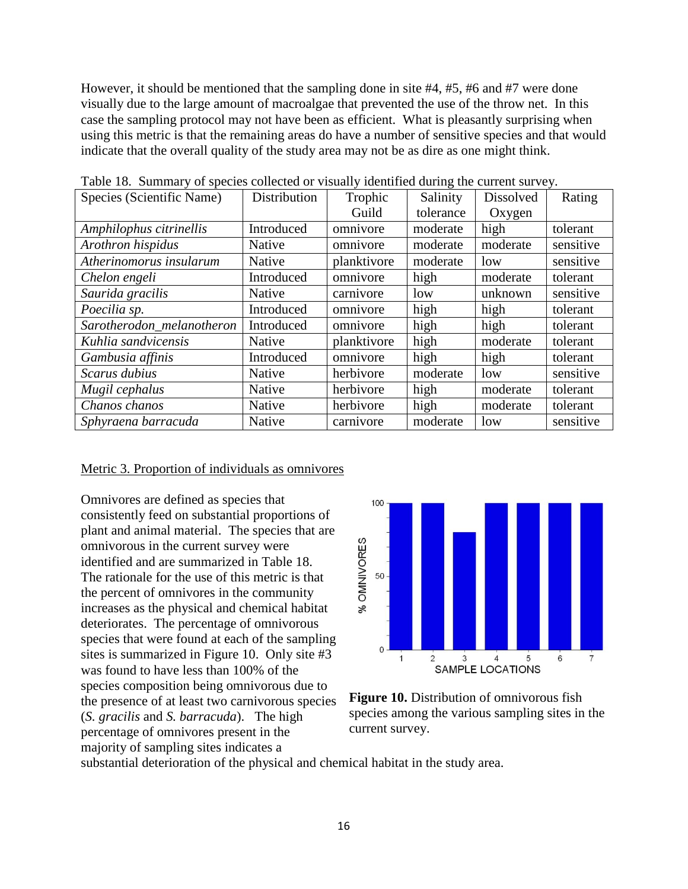However, it should be mentioned that the sampling done in site #4, #5, #6 and #7 were done visually due to the large amount of macroalgae that prevented the use of the throw net. In this case the sampling protocol may not have been as efficient. What is pleasantly surprising when using this metric is that the remaining areas do have a number of sensitive species and that would indicate that the overall quality of the study area may not be as dire as one might think.

| Species (Scientific Name) | Distribution  | Trophic     | Salinity  | Dissolved | Rating    |
|---------------------------|---------------|-------------|-----------|-----------|-----------|
|                           |               | Guild       | tolerance | Oxygen    |           |
| Amphilophus citrinellis   | Introduced    | omnivore    | moderate  | high      | tolerant  |
| Arothron hispidus         | <b>Native</b> | omnivore    | moderate  | moderate  | sensitive |
| Atherinomorus insularum   | Native        | planktivore | moderate  | low       | sensitive |
| Chelon engeli             | Introduced    | omnivore    | high      | moderate  | tolerant  |
| Saurida gracilis          | <b>Native</b> | carnivore   | low       | unknown   | sensitive |
| Poecilia sp.              | Introduced    | omnivore    | high      | high      | tolerant  |
| Sarotherodon_melanotheron | Introduced    | omnivore    | high      | high      | tolerant  |
| Kuhlia sandvicensis       | Native        | planktivore | high      | moderate  | tolerant  |
| Gambusia affinis          | Introduced    | omnivore    | high      | high      | tolerant  |
| Scarus dubius             | Native        | herbivore   | moderate  | low       | sensitive |
| Mugil cephalus            | Native        | herbivore   | high      | moderate  | tolerant  |
| Chanos chanos             | Native        | herbivore   | high      | moderate  | tolerant  |
| Sphyraena barracuda       | Native        | carnivore   | moderate  | low       | sensitive |

Table 18. Summary of species collected or visually identified during the current survey.

#### Metric 3. Proportion of individuals as omnivores

Omnivores are defined as species that consistently feed on substantial proportions of plant and animal material. The species that are omnivorous in the current survey were identified and are summarized in Table 18. The rationale for the use of this metric is that the percent of omnivores in the community increases as the physical and chemical habitat deteriorates. The percentage of omnivorous species that were found at each of the sampling sites is summarized in Figure 10. Only site #3 was found to have less than 100% of the species composition being omnivorous due to the presence of at least two carnivorous species (*S. gracilis* and *S. barracuda*). The high percentage of omnivores present in the majority of sampling sites indicates a



**Figure 10.** Distribution of omnivorous fish species among the various sampling sites in the current survey.

substantial deterioration of the physical and chemical habitat in the study area.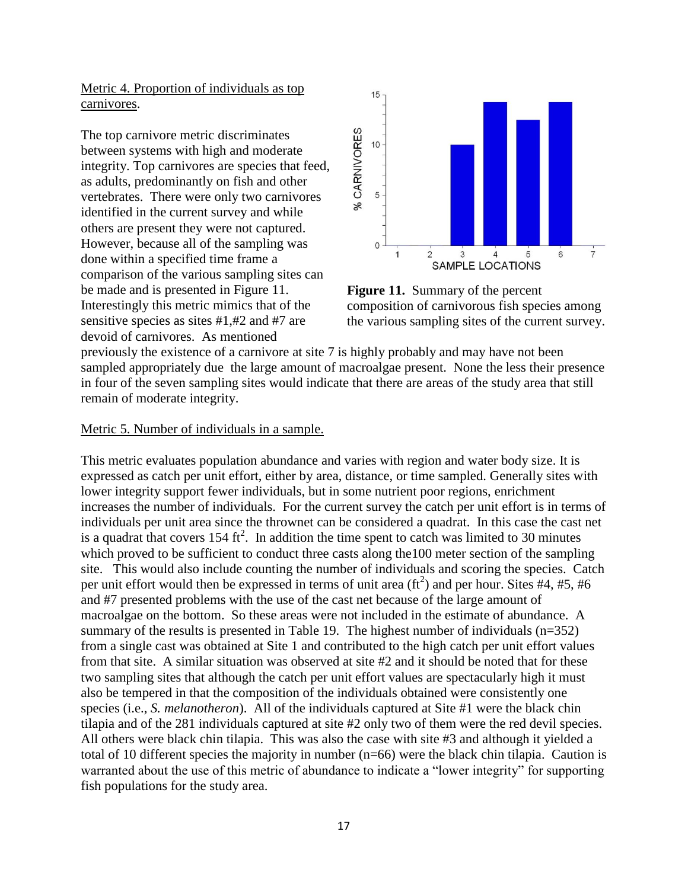Metric 4. Proportion of individuals as top carnivores.

The top carnivore metric discriminates between systems with high and moderate integrity. Top carnivores are species that feed, as adults, predominantly on fish and other vertebrates. There were only two carnivores identified in the current survey and while others are present they were not captured. However, because all of the sampling was done within a specified time frame a comparison of the various sampling sites can be made and is presented in Figure 11. Interestingly this metric mimics that of the sensitive species as sites #1,#2 and #7 are devoid of carnivores. As mentioned



**Figure 11.** Summary of the percent composition of carnivorous fish species among the various sampling sites of the current survey.

previously the existence of a carnivore at site 7 is highly probably and may have not been sampled appropriately due the large amount of macroalgae present. None the less their presence in four of the seven sampling sites would indicate that there are areas of the study area that still remain of moderate integrity.

### Metric 5. Number of individuals in a sample.

This metric evaluates population abundance and varies with region and water body size. It is expressed as catch per unit effort, either by area, distance, or time sampled. Generally sites with lower integrity support fewer individuals, but in some nutrient poor regions, enrichment increases the number of individuals. For the current survey the catch per unit effort is in terms of individuals per unit area since the thrownet can be considered a quadrat. In this case the cast net is a quadrat that covers 154 ft<sup>2</sup>. In addition the time spent to catch was limited to 30 minutes which proved to be sufficient to conduct three casts along the 100 meter section of the sampling site. This would also include counting the number of individuals and scoring the species. Catch per unit effort would then be expressed in terms of unit area  $(\text{ft}^2)$  and per hour. Sites #4, #5, #6 and #7 presented problems with the use of the cast net because of the large amount of macroalgae on the bottom. So these areas were not included in the estimate of abundance. A summary of the results is presented in Table 19. The highest number of individuals (n=352) from a single cast was obtained at Site 1 and contributed to the high catch per unit effort values from that site. A similar situation was observed at site #2 and it should be noted that for these two sampling sites that although the catch per unit effort values are spectacularly high it must also be tempered in that the composition of the individuals obtained were consistently one species (i.e., *S. melanotheron*). All of the individuals captured at Site #1 were the black chin tilapia and of the 281 individuals captured at site #2 only two of them were the red devil species. All others were black chin tilapia. This was also the case with site #3 and although it yielded a total of 10 different species the majority in number (n=66) were the black chin tilapia. Caution is warranted about the use of this metric of abundance to indicate a "lower integrity" for supporting fish populations for the study area.